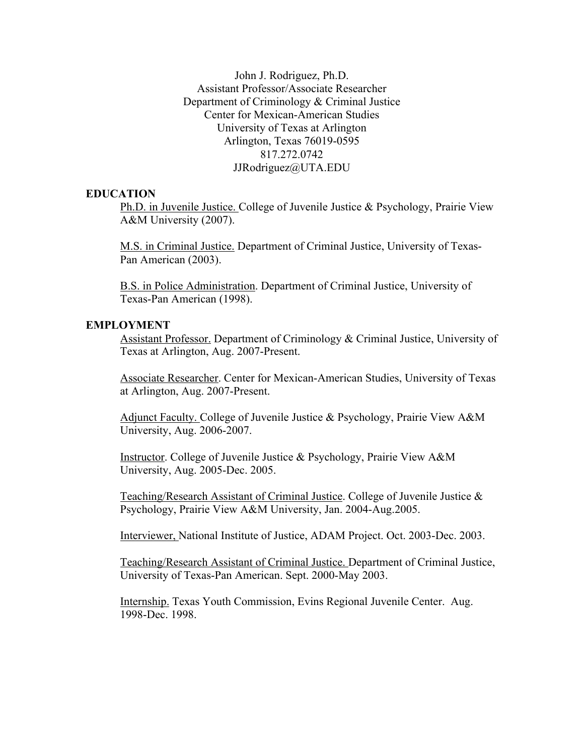John J. Rodriguez, Ph.D. Assistant Professor/Associate Researcher Department of Criminology & Criminal Justice Center for Mexican-American Studies University of Texas at Arlington Arlington, Texas 76019-0595 817.272.0742 JJRodriguez@UTA.EDU

### **EDUCATION**

Ph.D. in Juvenile Justice. College of Juvenile Justice & Psychology, Prairie View A&M University (2007).

M.S. in Criminal Justice. Department of Criminal Justice, University of Texas-Pan American (2003).

B.S. in Police Administration. Department of Criminal Justice, University of Texas-Pan American (1998).

### **EMPLOYMENT**

Assistant Professor. Department of Criminology & Criminal Justice, University of Texas at Arlington, Aug. 2007-Present.

Associate Researcher. Center for Mexican-American Studies, University of Texas at Arlington, Aug. 2007-Present.

Adjunct Faculty. College of Juvenile Justice & Psychology, Prairie View A&M University, Aug. 2006-2007.

Instructor. College of Juvenile Justice & Psychology, Prairie View A&M University, Aug. 2005-Dec. 2005.

Teaching/Research Assistant of Criminal Justice. College of Juvenile Justice & Psychology, Prairie View A&M University, Jan. 2004-Aug.2005.

Interviewer, National Institute of Justice, ADAM Project. Oct. 2003-Dec. 2003.

Teaching/Research Assistant of Criminal Justice. Department of Criminal Justice, University of Texas-Pan American. Sept. 2000-May 2003.

Internship. Texas Youth Commission, Evins Regional Juvenile Center. Aug. 1998-Dec. 1998.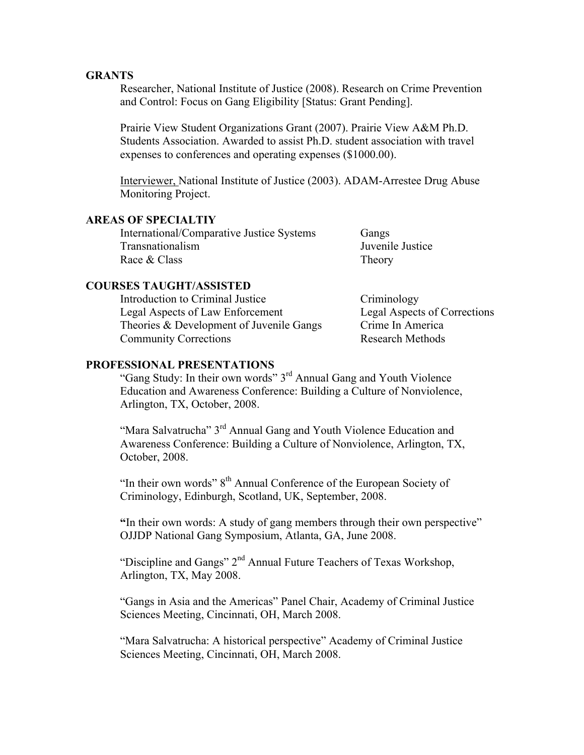#### **GRANTS**

Researcher, National Institute of Justice (2008). Research on Crime Prevention and Control: Focus on Gang Eligibility [Status: Grant Pending].

Prairie View Student Organizations Grant (2007). Prairie View A&M Ph.D. Students Association. Awarded to assist Ph.D. student association with travel expenses to conferences and operating expenses (\$1000.00).

Interviewer, National Institute of Justice (2003). ADAM-Arrestee Drug Abuse Monitoring Project.

# **AREAS OF SPECIALTIY**

International/Comparative Justice Systems Gangs Transnationalism Juvenile Justice Race & Class Theory

#### **COURSES TAUGHT/ASSISTED**

Introduction to Criminal Justice Criminology Legal Aspects of Law Enforcement Legal Aspects of Corrections Theories & Development of Juvenile Gangs Crime In America **Community Corrections** Research Methods

#### **PROFESSIONAL PRESENTATIONS**

"Gang Study: In their own words" 3rd Annual Gang and Youth Violence Education and Awareness Conference: Building a Culture of Nonviolence, Arlington, TX, October, 2008.

"Mara Salvatrucha" 3rd Annual Gang and Youth Violence Education and Awareness Conference: Building a Culture of Nonviolence, Arlington, TX, October, 2008.

"In their own words"  $8<sup>th</sup>$  Annual Conference of the European Society of Criminology, Edinburgh, Scotland, UK, September, 2008.

**"**In their own words: A study of gang members through their own perspective" OJJDP National Gang Symposium, Atlanta, GA, June 2008.

"Discipline and Gangs"  $2<sup>nd</sup>$  Annual Future Teachers of Texas Workshop, Arlington, TX, May 2008.

"Gangs in Asia and the Americas" Panel Chair, Academy of Criminal Justice Sciences Meeting, Cincinnati, OH, March 2008.

"Mara Salvatrucha: A historical perspective" Academy of Criminal Justice Sciences Meeting, Cincinnati, OH, March 2008.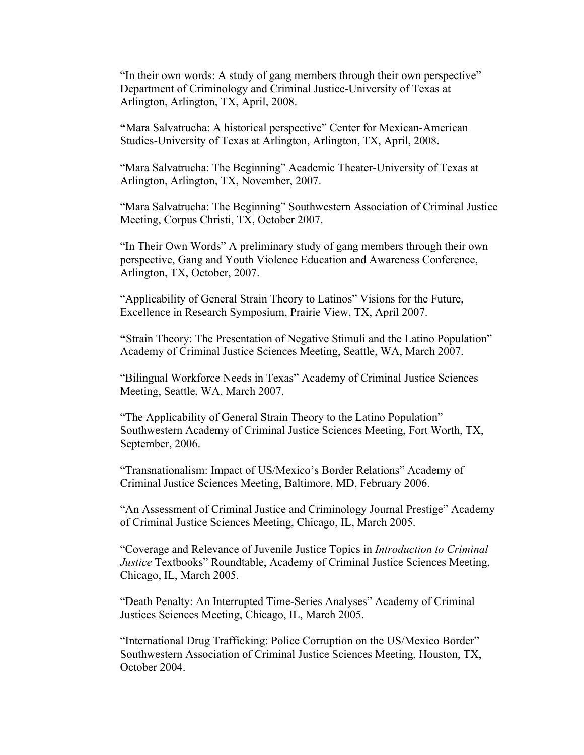"In their own words: A study of gang members through their own perspective" Department of Criminology and Criminal Justice-University of Texas at Arlington, Arlington, TX, April, 2008.

**"**Mara Salvatrucha: A historical perspective" Center for Mexican-American Studies-University of Texas at Arlington, Arlington, TX, April, 2008.

"Mara Salvatrucha: The Beginning" Academic Theater-University of Texas at Arlington, Arlington, TX, November, 2007.

"Mara Salvatrucha: The Beginning" Southwestern Association of Criminal Justice Meeting, Corpus Christi, TX, October 2007.

"In Their Own Words" A preliminary study of gang members through their own perspective, Gang and Youth Violence Education and Awareness Conference, Arlington, TX, October, 2007.

"Applicability of General Strain Theory to Latinos" Visions for the Future, Excellence in Research Symposium, Prairie View, TX, April 2007.

**"**Strain Theory: The Presentation of Negative Stimuli and the Latino Population" Academy of Criminal Justice Sciences Meeting, Seattle, WA, March 2007.

"Bilingual Workforce Needs in Texas" Academy of Criminal Justice Sciences Meeting, Seattle, WA, March 2007.

"The Applicability of General Strain Theory to the Latino Population" Southwestern Academy of Criminal Justice Sciences Meeting, Fort Worth, TX, September, 2006.

"Transnationalism: Impact of US/Mexico's Border Relations" Academy of Criminal Justice Sciences Meeting, Baltimore, MD, February 2006.

"An Assessment of Criminal Justice and Criminology Journal Prestige" Academy of Criminal Justice Sciences Meeting, Chicago, IL, March 2005.

"Coverage and Relevance of Juvenile Justice Topics in *Introduction to Criminal Justice* Textbooks" Roundtable, Academy of Criminal Justice Sciences Meeting, Chicago, IL, March 2005.

"Death Penalty: An Interrupted Time-Series Analyses" Academy of Criminal Justices Sciences Meeting, Chicago, IL, March 2005.

"International Drug Trafficking: Police Corruption on the US/Mexico Border" Southwestern Association of Criminal Justice Sciences Meeting, Houston, TX, October 2004.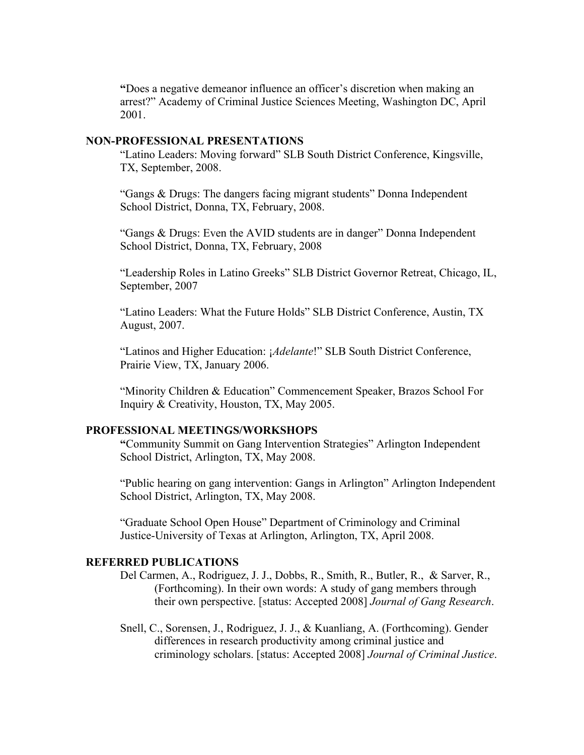**"**Does a negative demeanor influence an officer's discretion when making an arrest?" Academy of Criminal Justice Sciences Meeting, Washington DC, April 2001.

## **NON-PROFESSIONAL PRESENTATIONS**

"Latino Leaders: Moving forward" SLB South District Conference, Kingsville, TX, September, 2008.

"Gangs & Drugs: The dangers facing migrant students" Donna Independent School District, Donna, TX, February, 2008.

"Gangs & Drugs: Even the AVID students are in danger" Donna Independent School District, Donna, TX, February, 2008

"Leadership Roles in Latino Greeks" SLB District Governor Retreat, Chicago, IL, September, 2007

"Latino Leaders: What the Future Holds" SLB District Conference, Austin, TX August, 2007.

"Latinos and Higher Education: ¡*Adelante*!" SLB South District Conference, Prairie View, TX, January 2006.

"Minority Children & Education" Commencement Speaker, Brazos School For Inquiry & Creativity, Houston, TX, May 2005.

## **PROFESSIONAL MEETINGS/WORKSHOPS**

**"**Community Summit on Gang Intervention Strategies" Arlington Independent School District, Arlington, TX, May 2008.

"Public hearing on gang intervention: Gangs in Arlington" Arlington Independent School District, Arlington, TX, May 2008.

"Graduate School Open House" Department of Criminology and Criminal Justice-University of Texas at Arlington, Arlington, TX, April 2008.

## **REFERRED PUBLICATIONS**

- Del Carmen, A., Rodriguez, J. J., Dobbs, R., Smith, R., Butler, R., & Sarver, R., (Forthcoming). In their own words: A study of gang members through their own perspective. [status: Accepted 2008] *Journal of Gang Research*.
- Snell, C., Sorensen, J., Rodriguez, J. J., & Kuanliang, A. (Forthcoming). Gender differences in research productivity among criminal justice and criminology scholars. [status: Accepted 2008] *Journal of Criminal Justice*.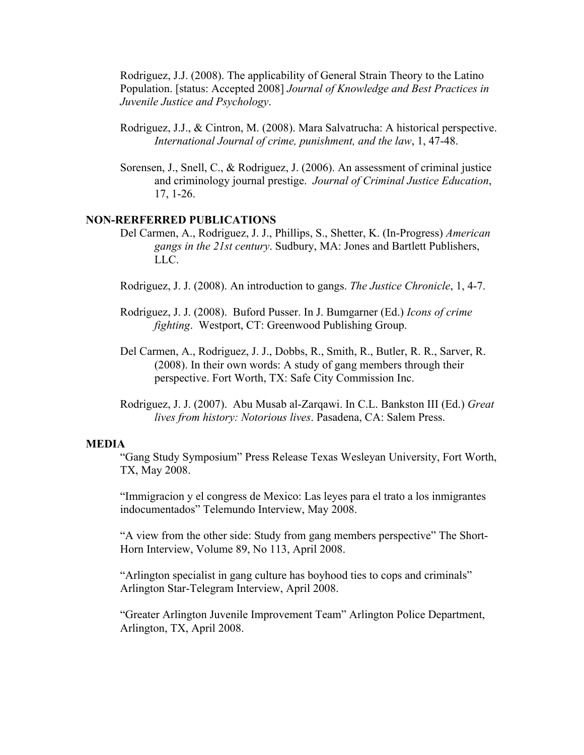Rodriguez, J.J. (2008). The applicability of General Strain Theory to the Latino Population. [status: Accepted 2008] *Journal of Knowledge and Best Practices in Juvenile Justice and Psychology*.

- Rodriguez, J.J., & Cintron, M. (2008). Mara Salvatrucha: A historical perspective. *International Journal of crime, punishment, and the law*, 1, 47-48.
- Sorensen, J., Snell, C., & Rodriguez, J. (2006). An assessment of criminal justice and criminology journal prestige. *Journal of Criminal Justice Education*, 17, 1-26.

## **NON-RERFERRED PUBLICATIONS**

- Del Carmen, A., Rodriguez, J. J., Phillips, S., Shetter, K. (In-Progress) *American gangs in the 21st century*. Sudbury, MA: Jones and Bartlett Publishers, LLC.
- Rodriguez, J. J. (2008). An introduction to gangs. *The Justice Chronicle*, 1, 4-7.
- Rodriguez, J. J. (2008). Buford Pusser. In J. Bumgarner (Ed.) *Icons of crime fighting*. Westport, CT: Greenwood Publishing Group.
- Del Carmen, A., Rodriguez, J. J., Dobbs, R., Smith, R., Butler, R. R., Sarver, R. (2008). In their own words: A study of gang members through their perspective. Fort Worth, TX: Safe City Commission Inc.
- Rodriguez, J. J. (2007). Abu Musab al-Zarqawi. In C.L. Bankston III (Ed.) *Great lives from history: Notorious lives*. Pasadena, CA: Salem Press.

#### **MEDIA**

"Gang Study Symposium" Press Release Texas Wesleyan University, Fort Worth, TX, May 2008.

"Immigracion y el congress de Mexico: Las leyes para el trato a los inmigrantes indocumentados" Telemundo Interview, May 2008.

"A view from the other side: Study from gang members perspective" The Short-Horn Interview, Volume 89, No 113, April 2008.

"Arlington specialist in gang culture has boyhood ties to cops and criminals" Arlington Star-Telegram Interview, April 2008.

"Greater Arlington Juvenile Improvement Team" Arlington Police Department, Arlington, TX, April 2008.